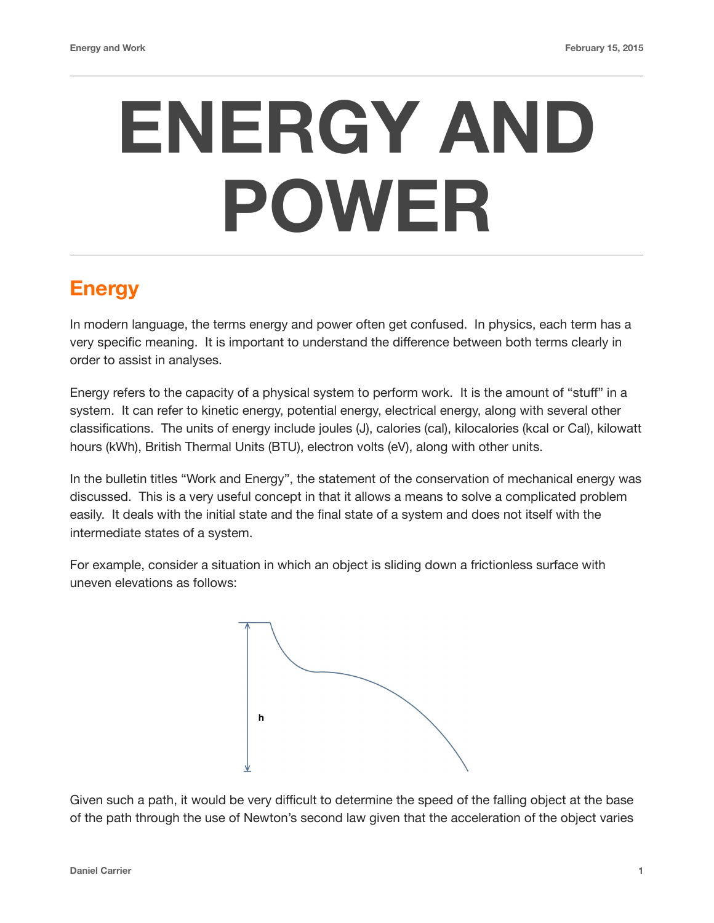# **ENERGY AND POWER**

## **Energy**

In modern language, the terms energy and power often get confused. In physics, each term has a very specific meaning. It is important to understand the difference between both terms clearly in order to assist in analyses.

Energy refers to the capacity of a physical system to perform work. It is the amount of "stuff" in a system. It can refer to kinetic energy, potential energy, electrical energy, along with several other classifications. The units of energy include joules (J), calories (cal), kilocalories (kcal or Cal), kilowatt hours (kWh), British Thermal Units (BTU), electron volts (eV), along with other units.

In the bulletin titles "Work and Energy", the statement of the conservation of mechanical energy was discussed. This is a very useful concept in that it allows a means to solve a complicated problem easily. It deals with the initial state and the final state of a system and does not itself with the intermediate states of a system.

For example, consider a situation in which an object is sliding down a frictionless surface with uneven elevations as follows:



Given such a path, it would be very difficult to determine the speed of the falling object at the base of the path through the use of Newton's second law given that the acceleration of the object varies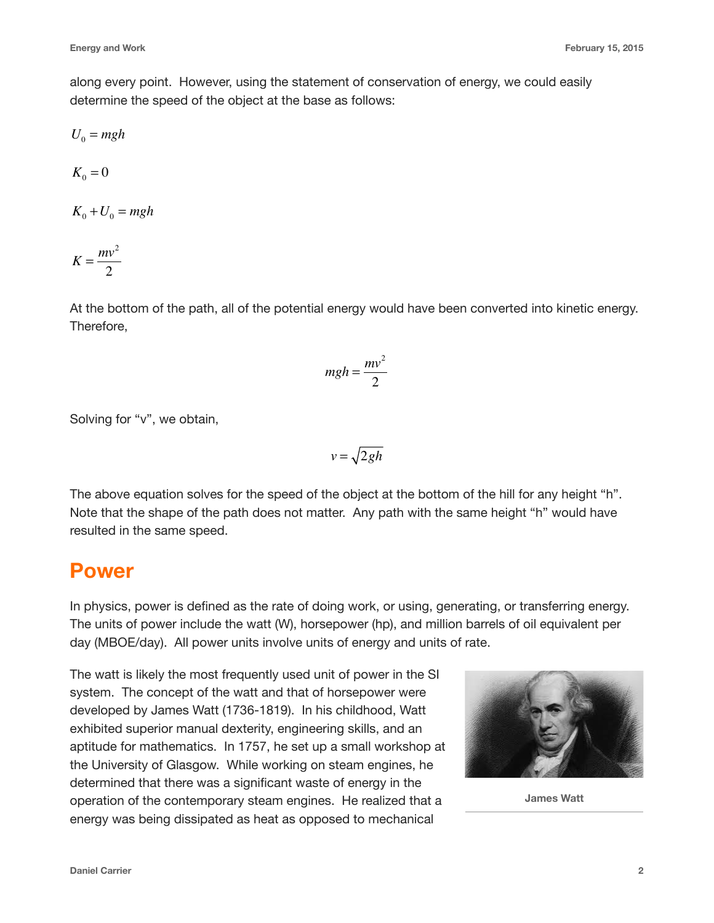along every point. However, using the statement of conservation of energy, we could easily determine the speed of the object at the base as follows:

$$
U_0 = mgh
$$
  
\n
$$
K_0 = 0
$$
  
\n
$$
K_0 + U_0 = mgh
$$
  
\n
$$
K = \frac{mv^2}{2}
$$

At the bottom of the path, all of the potential energy would have been converted into kinetic energy. Therefore,

$$
mgh = \frac{mv^2}{2}
$$

Solving for "v", we obtain,

$$
v=\sqrt{2gh}
$$

The above equation solves for the speed of the object at the bottom of the hill for any height "h". Note that the shape of the path does not matter. Any path with the same height "h" would have resulted in the same speed.

### **Power**

In physics, power is defined as the rate of doing work, or using, generating, or transferring energy. The units of power include the watt (W), horsepower (hp), and million barrels of oil equivalent per day (MBOE/day). All power units involve units of energy and units of rate.

The watt is likely the most frequently used unit of power in the SI system. The concept of the watt and that of horsepower were developed by James Watt (1736-1819). In his childhood, Watt exhibited superior manual dexterity, engineering skills, and an aptitude for mathematics. In 1757, he set up a small workshop at the University of Glasgow. While working on steam engines, he determined that there was a significant waste of energy in the operation of the contemporary steam engines. He realized that a energy was being dissipated as heat as opposed to mechanical



**James Watt**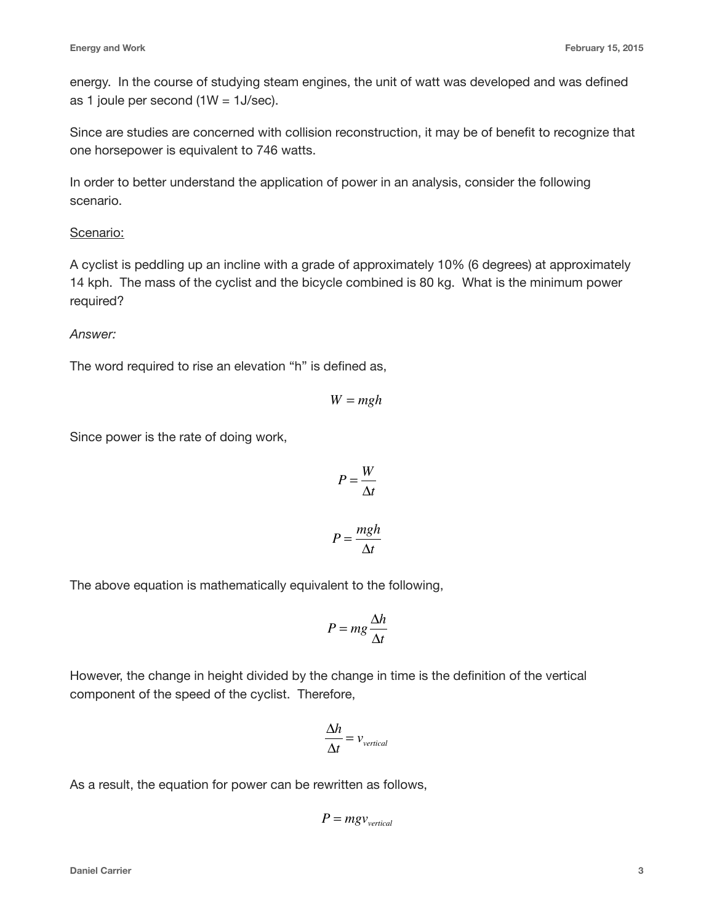energy. In the course of studying steam engines, the unit of watt was developed and was defined as 1 joule per second  $(1W = 1J/sec)$ .

Since are studies are concerned with collision reconstruction, it may be of benefit to recognize that one horsepower is equivalent to 746 watts.

In order to better understand the application of power in an analysis, consider the following scenario.

#### Scenario:

A cyclist is peddling up an incline with a grade of approximately 10% (6 degrees) at approximately 14 kph. The mass of the cyclist and the bicycle combined is 80 kg. What is the minimum power required?

#### *Answer:*

The word required to rise an elevation "h" is defined as,

$$
W = mgh
$$

Since power is the rate of doing work,

$$
P = \frac{W}{\Delta t}
$$

$$
P = \frac{mgh}{4\Delta t}
$$

Δ*t*

The above equation is mathematically equivalent to the following,

$$
P = mg \frac{\Delta h}{\Delta t}
$$

However, the change in height divided by the change in time is the definition of the vertical component of the speed of the cyclist. Therefore,

$$
\frac{\Delta h}{\Delta t} = v_{vertical}
$$

As a result, the equation for power can be rewritten as follows,

$$
P = m g v_{vertical}
$$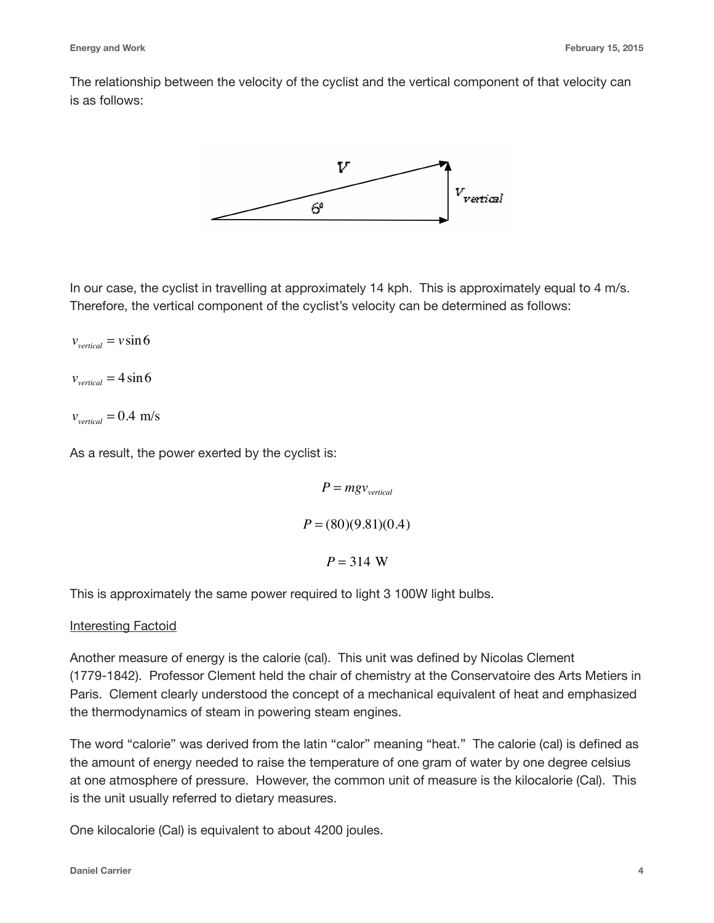The relationship between the velocity of the cyclist and the vertical component of that velocity can is as follows:



In our case, the cyclist in travelling at approximately 14 kph. This is approximately equal to 4 m/s. Therefore, the vertical component of the cyclist's velocity can be determined as follows:

 $v_{vertical} = v \sin 6$ 

 $v_{vertical} = 4 \sin 6$ 

 $v_{\text{vertical}} = 0.4 \text{ m/s}$ 

As a result, the power exerted by the cyclist is:

 $P = m g v_{vertical}$ *P* = (80)(9.81)(0.4)  $P = 314$  W

This is approximately the same power required to light 3 100W light bulbs.

#### Interesting Factoid

Another measure of energy is the calorie (cal). This unit was defined by Nicolas Clement (1779-1842). Professor Clement held the chair of chemistry at the Conservatoire des Arts Metiers in Paris. Clement clearly understood the concept of a mechanical equivalent of heat and emphasized the thermodynamics of steam in powering steam engines.

The word "calorie" was derived from the latin "calor" meaning "heat." The calorie (cal) is defined as the amount of energy needed to raise the temperature of one gram of water by one degree celsius at one atmosphere of pressure. However, the common unit of measure is the kilocalorie (Cal). This is the unit usually referred to dietary measures.

One kilocalorie (Cal) is equivalent to about 4200 joules.